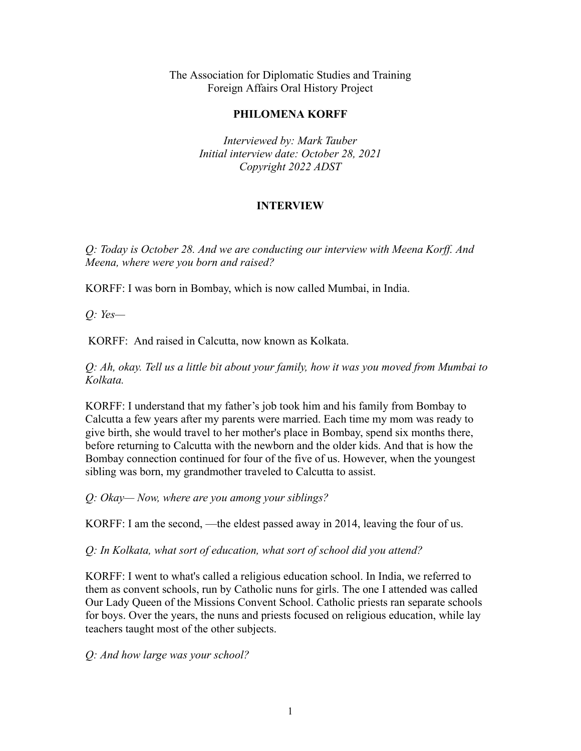The Association for Diplomatic Studies and Training Foreign Affairs Oral History Project

#### **PHILOMENA KORFF**

*Interviewed by: Mark Tauber Initial interview date: October 28, 2021 Copyright 2022 ADST*

# **INTERVIEW**

*Q: Today is October 28. And we are conducting our interview with Meena Korff. And Meena, where were you born and raised?*

KORFF: I was born in Bombay, which is now called Mumbai, in India.

*Q: Yes—*

KORFF: And raised in Calcutta, now known as Kolkata.

*Q: Ah, okay. Tell us a little bit about your family, how it was you moved from Mumbai to Kolkata.*

KORFF: I understand that my father's job took him and his family from Bombay to Calcutta a few years after my parents were married. Each time my mom was ready to give birth, she would travel to her mother's place in Bombay, spend six months there, before returning to Calcutta with the newborn and the older kids. And that is how the Bombay connection continued for four of the five of us. However, when the youngest sibling was born, my grandmother traveled to Calcutta to assist.

*Q: Okay— Now, where are you among your siblings?*

KORFF: I am the second, —the eldest passed away in 2014, leaving the four of us.

*Q: In Kolkata, what sort of education, what sort of school did you attend?*

KORFF: I went to what's called a religious education school. In India, we referred to them as convent schools, run by Catholic nuns for girls. The one I attended was called Our Lady Queen of the Missions Convent School. Catholic priests ran separate schools for boys. Over the years, the nuns and priests focused on religious education, while lay teachers taught most of the other subjects.

*Q: And how large was your school?*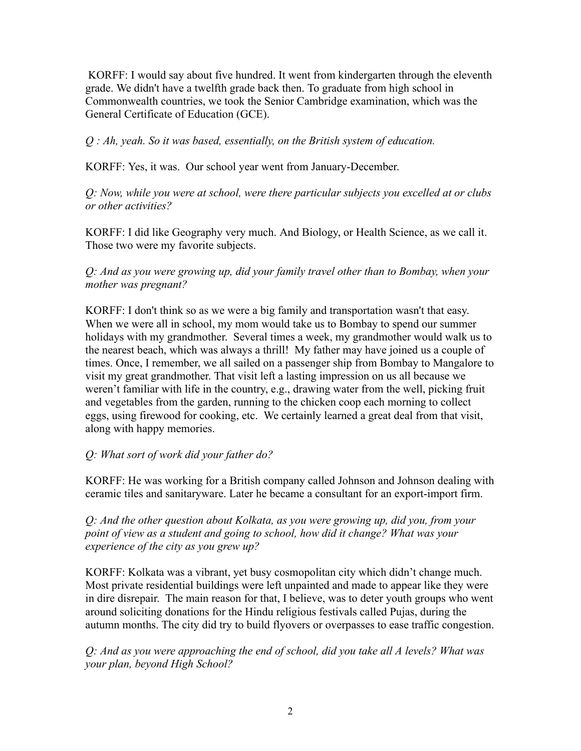KORFF: I would say about five hundred. It went from kindergarten through the eleventh grade. We didn't have a twelfth grade back then. To graduate from high school in Commonwealth countries, we took the Senior Cambridge examination, which was the General Certificate of Education (GCE).

*Q : Ah, yeah. So it was based, essentially, on the British system of education.*

KORFF: Yes, it was. Our school year went from January-December.

*Q: Now, while you were at school, were there particular subjects you excelled at or clubs or other activities?*

KORFF: I did like Geography very much. And Biology, or Health Science, as we call it. Those two were my favorite subjects.

### *Q: And as you were growing up, did your family travel other than to Bombay, when your mother was pregnant?*

KORFF: I don't think so as we were a big family and transportation wasn't that easy. When we were all in school, my mom would take us to Bombay to spend our summer holidays with my grandmother. Several times a week, my grandmother would walk us to the nearest beach, which was always a thrill! My father may have joined us a couple of times. Once, I remember, we all sailed on a passenger ship from Bombay to Mangalore to visit my great grandmother. That visit left a lasting impression on us all because we weren't familiar with life in the country, e.g., drawing water from the well, picking fruit and vegetables from the garden, running to the chicken coop each morning to collect eggs, using firewood for cooking, etc. We certainly learned a great deal from that visit, along with happy memories.

# *Q: What sort of work did your father do?*

KORFF: He was working for a British company called Johnson and Johnson dealing with ceramic tiles and sanitaryware. Later he became a consultant for an export-import firm.

*Q: And the other question about Kolkata, as you were growing up, did you, from your point of view as a student and going to school, how did it change? What was your experience of the city as you grew up?*

KORFF: Kolkata was a vibrant, yet busy cosmopolitan city which didn't change much. Most private residential buildings were left unpainted and made to appear like they were in dire disrepair. The main reason for that, I believe, was to deter youth groups who went around soliciting donations for the Hindu religious festivals called Pujas, during the autumn months. The city did try to build flyovers or overpasses to ease traffic congestion.

*Q: And as you were approaching the end of school, did you take all A levels? What was your plan, beyond High School?*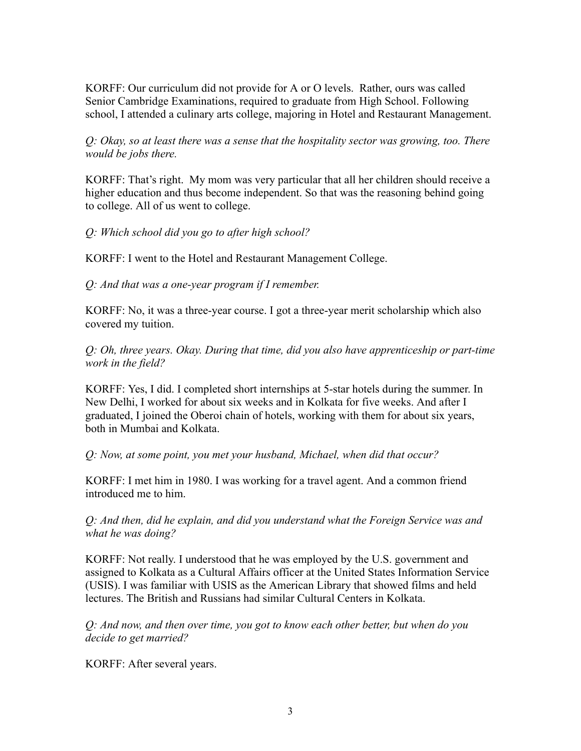KORFF: Our curriculum did not provide for A or O levels. Rather, ours was called Senior Cambridge Examinations, required to graduate from High School. Following school, I attended a culinary arts college, majoring in Hotel and Restaurant Management.

*Q: Okay, so at least there was a sense that the hospitality sector was growing, too. There would be jobs there.*

KORFF: That's right. My mom was very particular that all her children should receive a higher education and thus become independent. So that was the reasoning behind going to college. All of us went to college.

*Q: Which school did you go to after high school?*

KORFF: I went to the Hotel and Restaurant Management College.

*Q: And that was a one-year program if I remember.*

KORFF: No, it was a three-year course. I got a three-year merit scholarship which also covered my tuition.

*Q: Oh, three years. Okay. During that time, did you also have apprenticeship or part-time work in the field?*

KORFF: Yes, I did. I completed short internships at 5-star hotels during the summer. In New Delhi, I worked for about six weeks and in Kolkata for five weeks. And after I graduated, I joined the Oberoi chain of hotels, working with them for about six years, both in Mumbai and Kolkata.

*Q: Now, at some point, you met your husband, Michael, when did that occur?*

KORFF: I met him in 1980. I was working for a travel agent. And a common friend introduced me to him.

*Q: And then, did he explain, and did you understand what the Foreign Service was and what he was doing?*

KORFF: Not really. I understood that he was employed by the U.S. government and assigned to Kolkata as a Cultural Affairs officer at the United States Information Service (USIS). I was familiar with USIS as the American Library that showed films and held lectures. The British and Russians had similar Cultural Centers in Kolkata.

*Q: And now, and then over time, you got to know each other better, but when do you decide to get married?*

KORFF: After several years.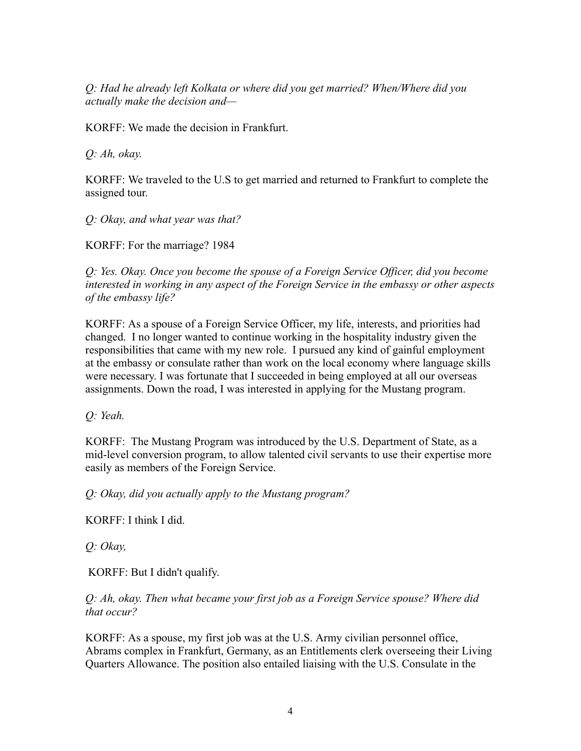*Q: Had he already left Kolkata or where did you get married? When/Where did you actually make the decision and—*

KORFF: We made the decision in Frankfurt.

*Q: Ah, okay.*

KORFF: We traveled to the U.S to get married and returned to Frankfurt to complete the assigned tour.

*Q: Okay, and what year was that?*

KORFF: For the marriage? 1984

*Q: Yes. Okay. Once you become the spouse of a Foreign Service Officer, did you become interested in working in any aspect of the Foreign Service in the embassy or other aspects of the embassy life?*

KORFF: As a spouse of a Foreign Service Officer, my life, interests, and priorities had changed. I no longer wanted to continue working in the hospitality industry given the responsibilities that came with my new role. I pursued any kind of gainful employment at the embassy or consulate rather than work on the local economy where language skills were necessary. I was fortunate that I succeeded in being employed at all our overseas assignments. Down the road, I was interested in applying for the Mustang program.

*Q: Yeah.*

KORFF: The Mustang Program was introduced by the U.S. Department of State, as a mid-level conversion program, to allow talented civil servants to use their expertise more easily as members of the Foreign Service.

*Q: Okay, did you actually apply to the Mustang program?*

KORFF: I think I did.

*Q: Okay,*

KORFF: But I didn't qualify.

*Q: Ah, okay. Then what became your first job as a Foreign Service spouse? Where did that occur?*

KORFF: As a spouse, my first job was at the U.S. Army civilian personnel office, Abrams complex in Frankfurt, Germany, as an Entitlements clerk overseeing their Living Quarters Allowance. The position also entailed liaising with the U.S. Consulate in the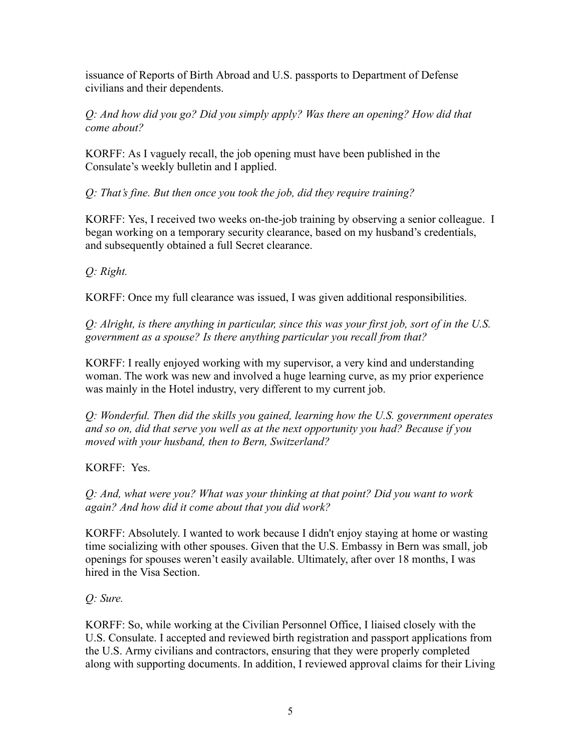issuance of Reports of Birth Abroad and U.S. passports to Department of Defense civilians and their dependents.

*Q: And how did you go? Did you simply apply? Was there an opening? How did that come about?*

KORFF: As I vaguely recall, the job opening must have been published in the Consulate's weekly bulletin and I applied.

*Q: That's fine. But then once you took the job, did they require training?*

KORFF: Yes, I received two weeks on-the-job training by observing a senior colleague. I began working on a temporary security clearance, based on my husband's credentials, and subsequently obtained a full Secret clearance.

*Q: Right.*

KORFF: Once my full clearance was issued, I was given additional responsibilities.

*Q: Alright, is there anything in particular, since this was your first job, sort of in the U.S. government as a spouse? Is there anything particular you recall from that?*

KORFF: I really enjoyed working with my supervisor, a very kind and understanding woman. The work was new and involved a huge learning curve, as my prior experience was mainly in the Hotel industry, very different to my current job.

*Q: Wonderful. Then did the skills you gained, learning how the U.S. government operates and so on, did that serve you well as at the next opportunity you had? Because if you moved with your husband, then to Bern, Switzerland?*

KORFF: Yes.

*Q: And, what were you? What was your thinking at that point? Did you want to work again? And how did it come about that you did work?*

KORFF: Absolutely. I wanted to work because I didn't enjoy staying at home or wasting time socializing with other spouses. Given that the U.S. Embassy in Bern was small, job openings for spouses weren't easily available. Ultimately, after over 18 months, I was hired in the Visa Section.

*Q: Sure.*

KORFF: So, while working at the Civilian Personnel Office, I liaised closely with the U.S. Consulate. I accepted and reviewed birth registration and passport applications from the U.S. Army civilians and contractors, ensuring that they were properly completed along with supporting documents. In addition, I reviewed approval claims for their Living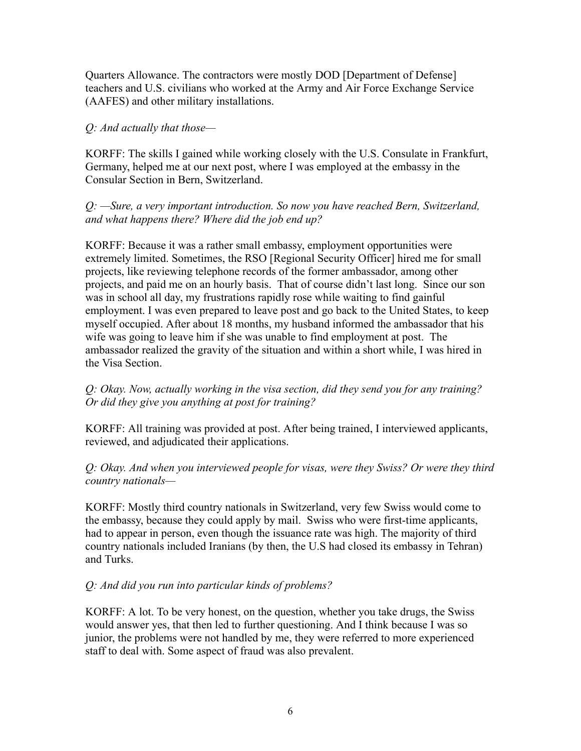Quarters Allowance. The contractors were mostly DOD [Department of Defense] teachers and U.S. civilians who worked at the Army and Air Force Exchange Service (AAFES) and other military installations.

### *Q: And actually that those—*

KORFF: The skills I gained while working closely with the U.S. Consulate in Frankfurt, Germany, helped me at our next post, where I was employed at the embassy in the Consular Section in Bern, Switzerland.

### *Q: —Sure, a very important introduction. So now you have reached Bern, Switzerland, and what happens there? Where did the job end up?*

KORFF: Because it was a rather small embassy, employment opportunities were extremely limited. Sometimes, the RSO [Regional Security Officer] hired me for small projects, like reviewing telephone records of the former ambassador, among other projects, and paid me on an hourly basis. That of course didn't last long. Since our son was in school all day, my frustrations rapidly rose while waiting to find gainful employment. I was even prepared to leave post and go back to the United States, to keep myself occupied. After about 18 months, my husband informed the ambassador that his wife was going to leave him if she was unable to find employment at post. The ambassador realized the gravity of the situation and within a short while, I was hired in the Visa Section.

# *Q: Okay. Now, actually working in the visa section, did they send you for any training? Or did they give you anything at post for training?*

KORFF: All training was provided at post. After being trained, I interviewed applicants, reviewed, and adjudicated their applications.

*Q: Okay. And when you interviewed people for visas, were they Swiss? Or were they third country nationals—*

KORFF: Mostly third country nationals in Switzerland, very few Swiss would come to the embassy, because they could apply by mail. Swiss who were first-time applicants, had to appear in person, even though the issuance rate was high. The majority of third country nationals included Iranians (by then, the U.S had closed its embassy in Tehran) and Turks.

# *Q: And did you run into particular kinds of problems?*

KORFF: A lot. To be very honest, on the question, whether you take drugs, the Swiss would answer yes, that then led to further questioning. And I think because I was so junior, the problems were not handled by me, they were referred to more experienced staff to deal with. Some aspect of fraud was also prevalent.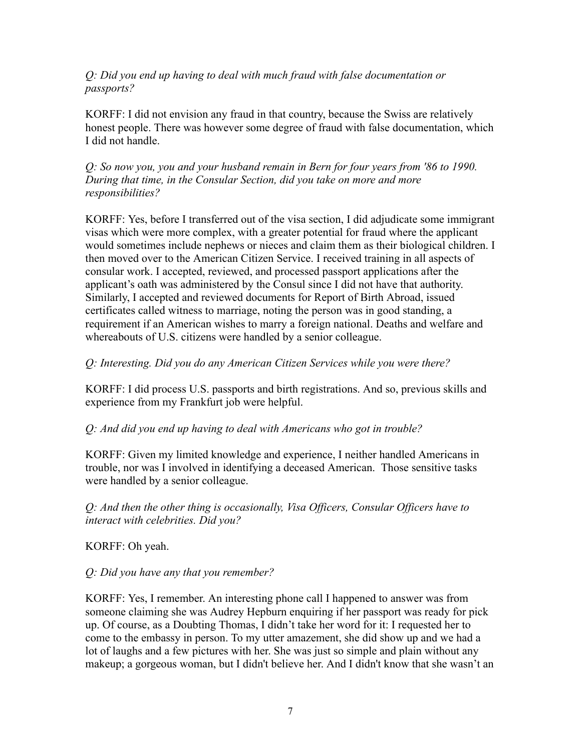*Q: Did you end up having to deal with much fraud with false documentation or passports?*

KORFF: I did not envision any fraud in that country, because the Swiss are relatively honest people. There was however some degree of fraud with false documentation, which I did not handle.

*Q: So now you, you and your husband remain in Bern for four years from '86 to 1990. During that time, in the Consular Section, did you take on more and more responsibilities?*

KORFF: Yes, before I transferred out of the visa section, I did adjudicate some immigrant visas which were more complex, with a greater potential for fraud where the applicant would sometimes include nephews or nieces and claim them as their biological children. I then moved over to the American Citizen Service. I received training in all aspects of consular work. I accepted, reviewed, and processed passport applications after the applicant's oath was administered by the Consul since I did not have that authority. Similarly, I accepted and reviewed documents for Report of Birth Abroad, issued certificates called witness to marriage, noting the person was in good standing, a requirement if an American wishes to marry a foreign national. Deaths and welfare and whereabouts of U.S. citizens were handled by a senior colleague.

*Q: Interesting. Did you do any American Citizen Services while you were there?*

KORFF: I did process U.S. passports and birth registrations. And so, previous skills and experience from my Frankfurt job were helpful.

# *Q: And did you end up having to deal with Americans who got in trouble?*

KORFF: Given my limited knowledge and experience, I neither handled Americans in trouble, nor was I involved in identifying a deceased American. Those sensitive tasks were handled by a senior colleague.

*Q: And then the other thing is occasionally, Visa Officers, Consular Officers have to interact with celebrities. Did you?*

KORFF: Oh yeah.

#### *Q: Did you have any that you remember?*

KORFF: Yes, I remember. An interesting phone call I happened to answer was from someone claiming she was Audrey Hepburn enquiring if her passport was ready for pick up. Of course, as a Doubting Thomas, I didn't take her word for it: I requested her to come to the embassy in person. To my utter amazement, she did show up and we had a lot of laughs and a few pictures with her. She was just so simple and plain without any makeup; a gorgeous woman, but I didn't believe her. And I didn't know that she wasn't an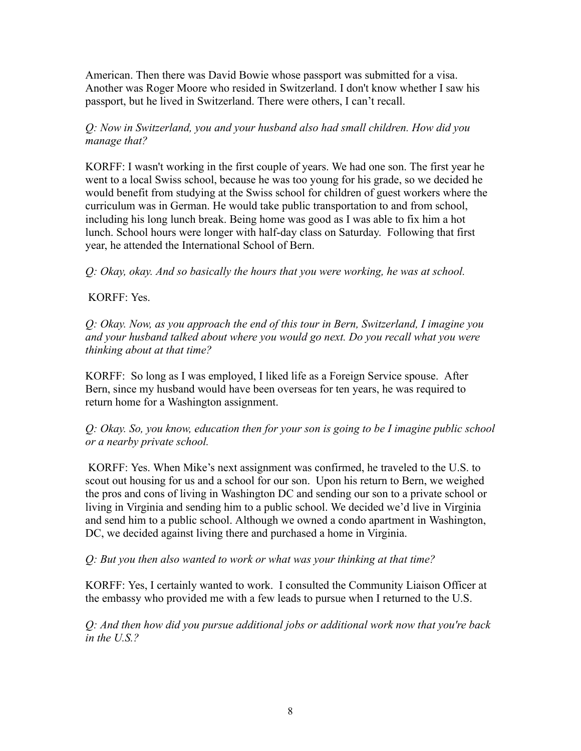American. Then there was David Bowie whose passport was submitted for a visa. Another was Roger Moore who resided in Switzerland. I don't know whether I saw his passport, but he lived in Switzerland. There were others, I can't recall.

*Q: Now in Switzerland, you and your husband also had small children. How did you manage that?*

KORFF: I wasn't working in the first couple of years. We had one son. The first year he went to a local Swiss school, because he was too young for his grade, so we decided he would benefit from studying at the Swiss school for children of guest workers where the curriculum was in German. He would take public transportation to and from school, including his long lunch break. Being home was good as I was able to fix him a hot lunch. School hours were longer with half-day class on Saturday. Following that first year, he attended the International School of Bern.

*Q: Okay, okay. And so basically the hours that you were working, he was at school.*

# KORFF: Yes.

*Q: Okay. Now, as you approach the end of this tour in Bern, Switzerland, I imagine you and your husband talked about where you would go next. Do you recall what you were thinking about at that time?*

KORFF: So long as I was employed, I liked life as a Foreign Service spouse. After Bern, since my husband would have been overseas for ten years, he was required to return home for a Washington assignment.

*Q: Okay. So, you know, education then for your son is going to be I imagine public school or a nearby private school.*

KORFF: Yes. When Mike's next assignment was confirmed, he traveled to the U.S. to scout out housing for us and a school for our son. Upon his return to Bern, we weighed the pros and cons of living in Washington DC and sending our son to a private school or living in Virginia and sending him to a public school. We decided we'd live in Virginia and send him to a public school. Although we owned a condo apartment in Washington, DC, we decided against living there and purchased a home in Virginia.

*Q: But you then also wanted to work or what was your thinking at that time?*

KORFF: Yes, I certainly wanted to work. I consulted the Community Liaison Officer at the embassy who provided me with a few leads to pursue when I returned to the U.S.

*Q: And then how did you pursue additional jobs or additional work now that you're back in the U.S.?*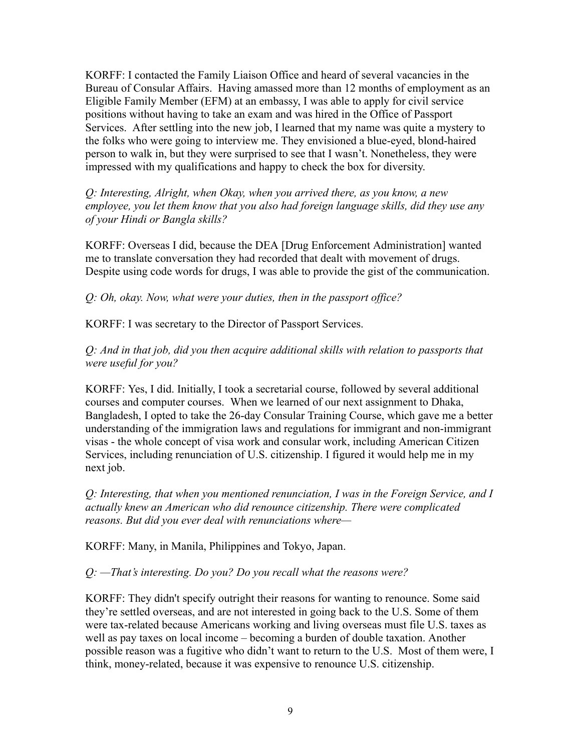KORFF: I contacted the Family Liaison Office and heard of several vacancies in the Bureau of Consular Affairs. Having amassed more than 12 months of employment as an Eligible Family Member (EFM) at an embassy, I was able to apply for civil service positions without having to take an exam and was hired in the Office of Passport Services. After settling into the new job, I learned that my name was quite a mystery to the folks who were going to interview me. They envisioned a blue-eyed, blond-haired person to walk in, but they were surprised to see that I wasn't. Nonetheless, they were impressed with my qualifications and happy to check the box for diversity.

*Q: Interesting, Alright, when Okay, when you arrived there, as you know, a new employee, you let them know that you also had foreign language skills, did they use any of your Hindi or Bangla skills?*

KORFF: Overseas I did, because the DEA [Drug Enforcement Administration] wanted me to translate conversation they had recorded that dealt with movement of drugs. Despite using code words for drugs, I was able to provide the gist of the communication.

*Q: Oh, okay. Now, what were your duties, then in the passport office?*

KORFF: I was secretary to the Director of Passport Services.

*Q: And in that job, did you then acquire additional skills with relation to passports that were useful for you?*

KORFF: Yes, I did. Initially, I took a secretarial course, followed by several additional courses and computer courses. When we learned of our next assignment to Dhaka, Bangladesh, I opted to take the 26-day Consular Training Course, which gave me a better understanding of the immigration laws and regulations for immigrant and non-immigrant visas - the whole concept of visa work and consular work, including American Citizen Services, including renunciation of U.S. citizenship. I figured it would help me in my next job.

*Q: Interesting, that when you mentioned renunciation, I was in the Foreign Service, and I actually knew an American who did renounce citizenship. There were complicated reasons. But did you ever deal with renunciations where—*

KORFF: Many, in Manila, Philippines and Tokyo, Japan.

*Q: —That's interesting. Do you? Do you recall what the reasons were?*

KORFF: They didn't specify outright their reasons for wanting to renounce. Some said they're settled overseas, and are not interested in going back to the U.S. Some of them were tax-related because Americans working and living overseas must file U.S. taxes as well as pay taxes on local income – becoming a burden of double taxation. Another possible reason was a fugitive who didn't want to return to the U.S. Most of them were, I think, money-related, because it was expensive to renounce U.S. citizenship.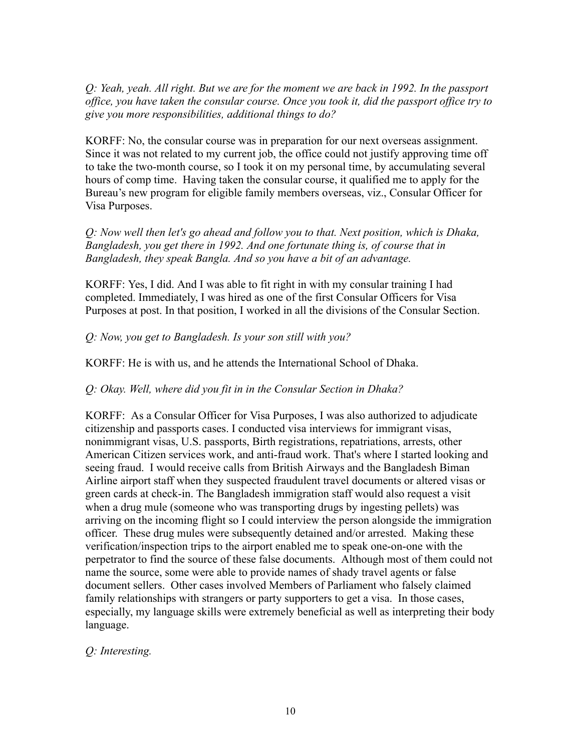*Q: Yeah, yeah. All right. But we are for the moment we are back in 1992. In the passport office, you have taken the consular course. Once you took it, did the passport office try to give you more responsibilities, additional things to do?*

KORFF: No, the consular course was in preparation for our next overseas assignment. Since it was not related to my current job, the office could not justify approving time off to take the two-month course, so I took it on my personal time, by accumulating several hours of comp time. Having taken the consular course, it qualified me to apply for the Bureau's new program for eligible family members overseas, viz., Consular Officer for Visa Purposes.

*Q: Now well then let's go ahead and follow you to that. Next position, which is Dhaka, Bangladesh, you get there in 1992. And one fortunate thing is, of course that in Bangladesh, they speak Bangla. And so you have a bit of an advantage.*

KORFF: Yes, I did. And I was able to fit right in with my consular training I had completed. Immediately, I was hired as one of the first Consular Officers for Visa Purposes at post. In that position, I worked in all the divisions of the Consular Section.

#### *Q: Now, you get to Bangladesh. Is your son still with you?*

KORFF: He is with us, and he attends the International School of Dhaka.

#### *Q: Okay. Well, where did you fit in in the Consular Section in Dhaka?*

KORFF: As a Consular Officer for Visa Purposes, I was also authorized to adjudicate citizenship and passports cases. I conducted visa interviews for immigrant visas, nonimmigrant visas, U.S. passports, Birth registrations, repatriations, arrests, other American Citizen services work, and anti-fraud work. That's where I started looking and seeing fraud. I would receive calls from British Airways and the Bangladesh Biman Airline airport staff when they suspected fraudulent travel documents or altered visas or green cards at check-in. The Bangladesh immigration staff would also request a visit when a drug mule (someone who was transporting drugs by ingesting pellets) was arriving on the incoming flight so I could interview the person alongside the immigration officer. These drug mules were subsequently detained and/or arrested. Making these verification/inspection trips to the airport enabled me to speak one-on-one with the perpetrator to find the source of these false documents. Although most of them could not name the source, some were able to provide names of shady travel agents or false document sellers. Other cases involved Members of Parliament who falsely claimed family relationships with strangers or party supporters to get a visa. In those cases, especially, my language skills were extremely beneficial as well as interpreting their body language.

#### *Q: Interesting.*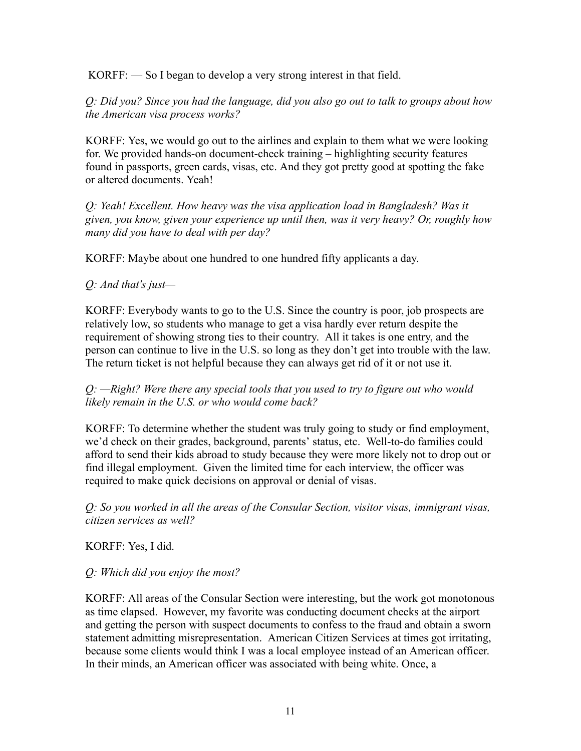KORFF: — So I began to develop a very strong interest in that field.

*Q: Did you? Since you had the language, did you also go out to talk to groups about how the American visa process works?*

KORFF: Yes, we would go out to the airlines and explain to them what we were looking for. We provided hands-on document-check training – highlighting security features found in passports, green cards, visas, etc. And they got pretty good at spotting the fake or altered documents. Yeah!

*Q: Yeah! Excellent. How heavy was the visa application load in Bangladesh? Was it given, you know, given your experience up until then, was it very heavy? Or, roughly how many did you have to deal with per day?*

KORFF: Maybe about one hundred to one hundred fifty applicants a day.

#### *Q: And that's just—*

KORFF: Everybody wants to go to the U.S. Since the country is poor, job prospects are relatively low, so students who manage to get a visa hardly ever return despite the requirement of showing strong ties to their country. All it takes is one entry, and the person can continue to live in the U.S. so long as they don't get into trouble with the law. The return ticket is not helpful because they can always get rid of it or not use it.

#### *Q: —Right? Were there any special tools that you used to try to figure out who would likely remain in the U.S. or who would come back?*

KORFF: To determine whether the student was truly going to study or find employment, we'd check on their grades, background, parents' status, etc. Well-to-do families could afford to send their kids abroad to study because they were more likely not to drop out or find illegal employment. Given the limited time for each interview, the officer was required to make quick decisions on approval or denial of visas.

*Q: So you worked in all the areas of the Consular Section, visitor visas, immigrant visas, citizen services as well?*

KORFF: Yes, I did.

# *Q: Which did you enjoy the most?*

KORFF: All areas of the Consular Section were interesting, but the work got monotonous as time elapsed. However, my favorite was conducting document checks at the airport and getting the person with suspect documents to confess to the fraud and obtain a sworn statement admitting misrepresentation. American Citizen Services at times got irritating, because some clients would think I was a local employee instead of an American officer. In their minds, an American officer was associated with being white. Once, a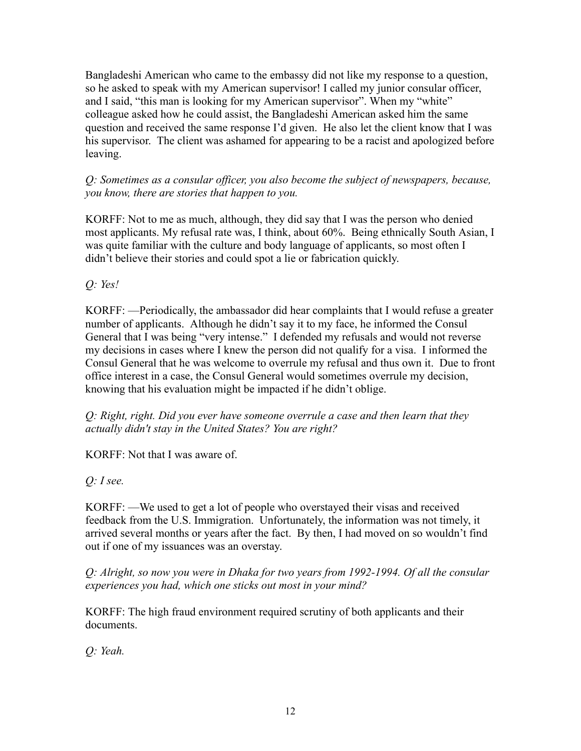Bangladeshi American who came to the embassy did not like my response to a question, so he asked to speak with my American supervisor! I called my junior consular officer, and I said, "this man is looking for my American supervisor". When my "white" colleague asked how he could assist, the Bangladeshi American asked him the same question and received the same response I'd given. He also let the client know that I was his supervisor. The client was ashamed for appearing to be a racist and apologized before leaving.

*Q: Sometimes as a consular officer, you also become the subject of newspapers, because, you know, there are stories that happen to you.*

KORFF: Not to me as much, although, they did say that I was the person who denied most applicants. My refusal rate was, I think, about 60%. Being ethnically South Asian, I was quite familiar with the culture and body language of applicants, so most often I didn't believe their stories and could spot a lie or fabrication quickly.

*Q: Yes!*

KORFF: —Periodically, the ambassador did hear complaints that I would refuse a greater number of applicants. Although he didn't say it to my face, he informed the Consul General that I was being "very intense." I defended my refusals and would not reverse my decisions in cases where I knew the person did not qualify for a visa. I informed the Consul General that he was welcome to overrule my refusal and thus own it. Due to front office interest in a case, the Consul General would sometimes overrule my decision, knowing that his evaluation might be impacted if he didn't oblige.

*Q: Right, right. Did you ever have someone overrule a case and then learn that they actually didn't stay in the United States? You are right?*

KORFF: Not that I was aware of.

*Q: I see.*

KORFF: —We used to get a lot of people who overstayed their visas and received feedback from the U.S. Immigration. Unfortunately, the information was not timely, it arrived several months or years after the fact. By then, I had moved on so wouldn't find out if one of my issuances was an overstay.

*Q: Alright, so now you were in Dhaka for two years from 1992-1994. Of all the consular experiences you had, which one sticks out most in your mind?*

KORFF: The high fraud environment required scrutiny of both applicants and their documents.

*Q: Yeah.*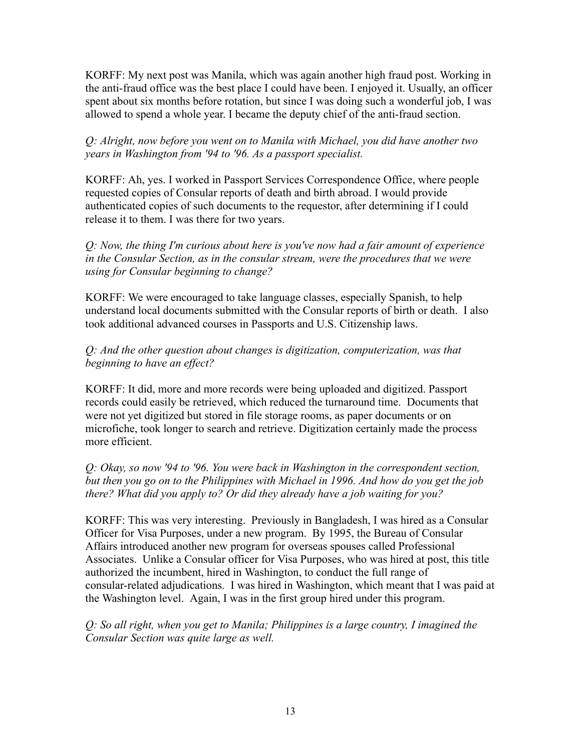KORFF: My next post was Manila, which was again another high fraud post. Working in the anti-fraud office was the best place I could have been. I enjoyed it. Usually, an officer spent about six months before rotation, but since I was doing such a wonderful job, I was allowed to spend a whole year. I became the deputy chief of the anti-fraud section.

### *Q: Alright, now before you went on to Manila with Michael, you did have another two years in Washington from '94 to '96. As a passport specialist.*

KORFF: Ah, yes. I worked in Passport Services Correspondence Office, where people requested copies of Consular reports of death and birth abroad. I would provide authenticated copies of such documents to the requestor, after determining if I could release it to them. I was there for two years.

# *Q: Now, the thing I'm curious about here is you've now had a fair amount of experience in the Consular Section, as in the consular stream, were the procedures that we were using for Consular beginning to change?*

KORFF: We were encouraged to take language classes, especially Spanish, to help understand local documents submitted with the Consular reports of birth or death. I also took additional advanced courses in Passports and U.S. Citizenship laws.

# *Q: And the other question about changes is digitization, computerization, was that beginning to have an effect?*

KORFF: It did, more and more records were being uploaded and digitized. Passport records could easily be retrieved, which reduced the turnaround time. Documents that were not yet digitized but stored in file storage rooms, as paper documents or on microfiche, took longer to search and retrieve. Digitization certainly made the process more efficient.

*Q: Okay, so now '94 to '96. You were back in Washington in the correspondent section, but then you go on to the Philippines with Michael in 1996. And how do you get the job there? What did you apply to? Or did they already have a job waiting for you?*

KORFF: This was very interesting. Previously in Bangladesh, I was hired as a Consular Officer for Visa Purposes, under a new program. By 1995, the Bureau of Consular Affairs introduced another new program for overseas spouses called Professional Associates. Unlike a Consular officer for Visa Purposes, who was hired at post, this title authorized the incumbent, hired in Washington, to conduct the full range of consular-related adjudications. I was hired in Washington, which meant that I was paid at the Washington level. Again, I was in the first group hired under this program.

*Q: So all right, when you get to Manila; Philippines is a large country, I imagined the Consular Section was quite large as well.*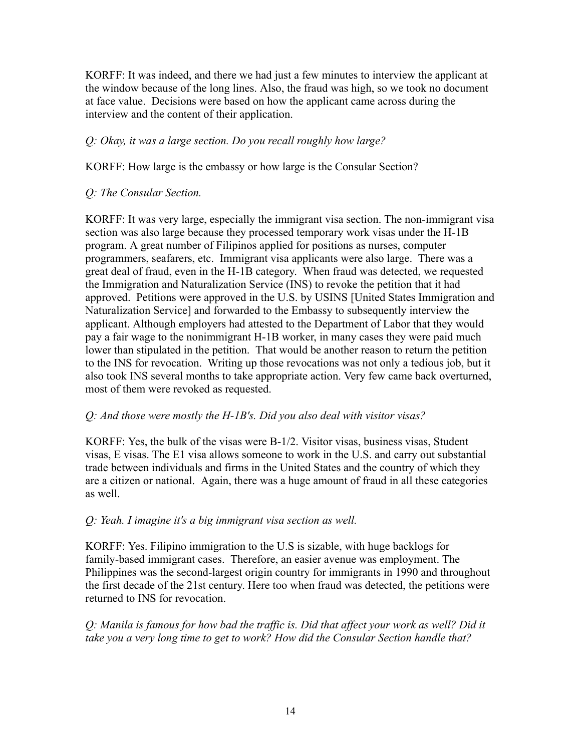KORFF: It was indeed, and there we had just a few minutes to interview the applicant at the window because of the long lines. Also, the fraud was high, so we took no document at face value. Decisions were based on how the applicant came across during the interview and the content of their application.

# *Q: Okay, it was a large section. Do you recall roughly how large?*

KORFF: How large is the embassy or how large is the Consular Section?

# *Q: The Consular Section.*

KORFF: It was very large, especially the immigrant visa section. The non-immigrant visa section was also large because they processed temporary work visas under the H-1B program. A great number of Filipinos applied for positions as nurses, computer programmers, seafarers, etc. Immigrant visa applicants were also large. There was a great deal of fraud, even in the H-1B category. When fraud was detected, we requested the Immigration and Naturalization Service (INS) to revoke the petition that it had approved. Petitions were approved in the U.S. by USINS [United States Immigration and Naturalization Service] and forwarded to the Embassy to subsequently interview the applicant. Although employers had attested to the Department of Labor that they would pay a fair wage to the nonimmigrant H-1B worker, in many cases they were paid much lower than stipulated in the petition. That would be another reason to return the petition to the INS for revocation. Writing up those revocations was not only a tedious job, but it also took INS several months to take appropriate action. Very few came back overturned, most of them were revoked as requested.

# *Q: And those were mostly the H-1B's. Did you also deal with visitor visas?*

KORFF: Yes, the bulk of the visas were B-1/2. Visitor visas, business visas, Student visas, E visas. The E1 visa allows someone to work in the U.S. and carry out substantial trade between individuals and firms in the United States and the country of which they are a citizen or national. Again, there was a huge amount of fraud in all these categories as well.

# *Q: Yeah. I imagine it's a big immigrant visa section as well.*

KORFF: Yes. Filipino immigration to the U.S is sizable, with huge backlogs for family-based immigrant cases. Therefore, an easier avenue was employment. The Philippines was the second-largest origin country for immigrants in 1990 and throughout the first decade of the 21st century. Here too when fraud was detected, the petitions were returned to INS for revocation.

*Q: Manila is famous for how bad the traffic is. Did that affect your work as well? Did it take you a very long time to get to work? How did the Consular Section handle that?*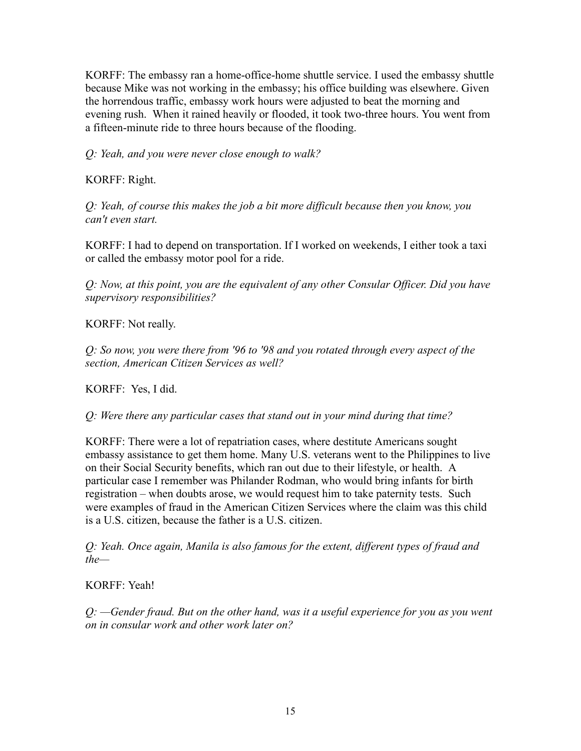KORFF: The embassy ran a home-office-home shuttle service. I used the embassy shuttle because Mike was not working in the embassy; his office building was elsewhere. Given the horrendous traffic, embassy work hours were adjusted to beat the morning and evening rush. When it rained heavily or flooded, it took two-three hours. You went from a fifteen-minute ride to three hours because of the flooding.

*Q: Yeah, and you were never close enough to walk?*

KORFF: Right.

*Q: Yeah, of course this makes the job a bit more difficult because then you know, you can't even start.*

KORFF: I had to depend on transportation. If I worked on weekends, I either took a taxi or called the embassy motor pool for a ride.

*Q: Now, at this point, you are the equivalent of any other Consular Officer. Did you have supervisory responsibilities?*

KORFF: Not really.

*Q: So now, you were there from '96 to '98 and you rotated through every aspect of the section, American Citizen Services as well?*

KORFF: Yes, I did.

*Q: Were there any particular cases that stand out in your mind during that time?*

KORFF: There were a lot of repatriation cases, where destitute Americans sought embassy assistance to get them home. Many U.S. veterans went to the Philippines to live on their Social Security benefits, which ran out due to their lifestyle, or health. A particular case I remember was Philander Rodman, who would bring infants for birth registration – when doubts arose, we would request him to take paternity tests. Such were examples of fraud in the American Citizen Services where the claim was this child is a U.S. citizen, because the father is a U.S. citizen.

*Q: Yeah. Once again, Manila is also famous for the extent, different types of fraud and the—*

KORFF: Yeah!

*Q: —Gender fraud. But on the other hand, was it a useful experience for you as you went on in consular work and other work later on?*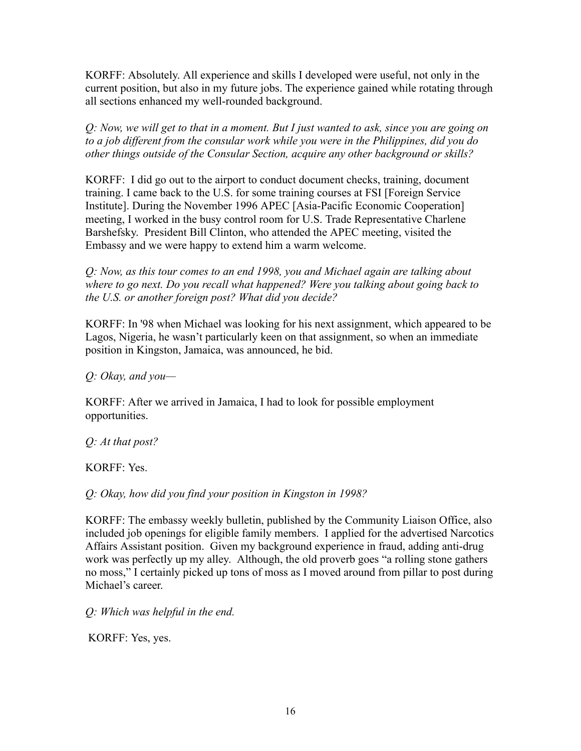KORFF: Absolutely. All experience and skills I developed were useful, not only in the current position, but also in my future jobs. The experience gained while rotating through all sections enhanced my well-rounded background.

*Q: Now, we will get to that in a moment. But I just wanted to ask, since you are going on to a job different from the consular work while you were in the Philippines, did you do other things outside of the Consular Section, acquire any other background or skills?*

KORFF: I did go out to the airport to conduct document checks, training, document training. I came back to the U.S. for some training courses at FSI [Foreign Service Institute]. During the November 1996 APEC [Asia-Pacific Economic Cooperation] meeting, I worked in the busy control room for U.S. Trade Representative Charlene Barshefsky. President Bill Clinton, who attended the APEC meeting, visited the Embassy and we were happy to extend him a warm welcome.

*Q: Now, as this tour comes to an end 1998, you and Michael again are talking about where to go next. Do you recall what happened? Were you talking about going back to the U.S. or another foreign post? What did you decide?*

KORFF: In '98 when Michael was looking for his next assignment, which appeared to be Lagos, Nigeria, he wasn't particularly keen on that assignment, so when an immediate position in Kingston, Jamaica, was announced, he bid.

*Q: Okay, and you—*

KORFF: After we arrived in Jamaica, I had to look for possible employment opportunities.

*Q: At that post?*

KORFF: Yes.

*Q: Okay, how did you find your position in Kingston in 1998?*

KORFF: The embassy weekly bulletin, published by the Community Liaison Office, also included job openings for eligible family members. I applied for the advertised Narcotics Affairs Assistant position. Given my background experience in fraud, adding anti-drug work was perfectly up my alley. Although, the old proverb goes "a rolling stone gathers no moss," I certainly picked up tons of moss as I moved around from pillar to post during Michael's career.

*Q: Which was helpful in the end.*

KORFF: Yes, yes.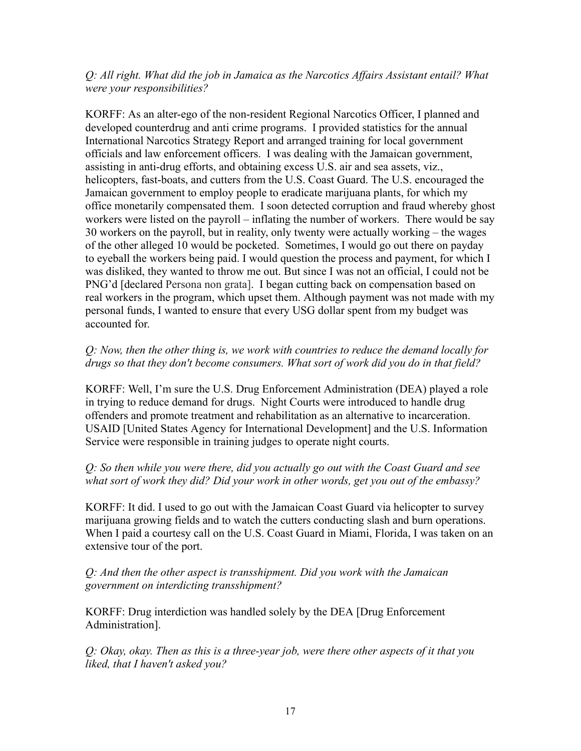*Q: All right. What did the job in Jamaica as the Narcotics Affairs Assistant entail? What were your responsibilities?*

KORFF: As an alter-ego of the non-resident Regional Narcotics Officer, I planned and developed counterdrug and anti crime programs. I provided statistics for the annual International Narcotics Strategy Report and arranged training for local government officials and law enforcement officers. I was dealing with the Jamaican government, assisting in anti-drug efforts, and obtaining excess U.S. air and sea assets, viz., helicopters, fast-boats, and cutters from the U.S. Coast Guard. The U.S. encouraged the Jamaican government to employ people to eradicate marijuana plants, for which my office monetarily compensated them. I soon detected corruption and fraud whereby ghost workers were listed on the payroll – inflating the number of workers. There would be say 30 workers on the payroll, but in reality, only twenty were actually working – the wages of the other alleged 10 would be pocketed. Sometimes, I would go out there on payday to eyeball the workers being paid. I would question the process and payment, for which I was disliked, they wanted to throw me out. But since I was not an official, I could not be PNG'd [declared Persona non grata]. I began cutting back on compensation based on real workers in the program, which upset them. Although payment was not made with my personal funds, I wanted to ensure that every USG dollar spent from my budget was accounted for.

*Q: Now, then the other thing is, we work with countries to reduce the demand locally for drugs so that they don't become consumers. What sort of work did you do in that field?*

KORFF: Well, I'm sure the U.S. Drug Enforcement Administration (DEA) played a role in trying to reduce demand for drugs. Night Courts were introduced to handle drug offenders and promote treatment and rehabilitation as an alternative to incarceration. USAID [United States Agency for International Development] and the U.S. Information Service were responsible in training judges to operate night courts.

#### *Q: So then while you were there, did you actually go out with the Coast Guard and see what sort of work they did? Did your work in other words, get you out of the embassy?*

KORFF: It did. I used to go out with the Jamaican Coast Guard via helicopter to survey marijuana growing fields and to watch the cutters conducting slash and burn operations. When I paid a courtesy call on the U.S. Coast Guard in Miami, Florida, I was taken on an extensive tour of the port.

*Q: And then the other aspect is transshipment. Did you work with the Jamaican government on interdicting transshipment?*

KORFF: Drug interdiction was handled solely by the DEA [Drug Enforcement Administration].

*Q: Okay, okay. Then as this is a three-year job, were there other aspects of it that you liked, that I haven't asked you?*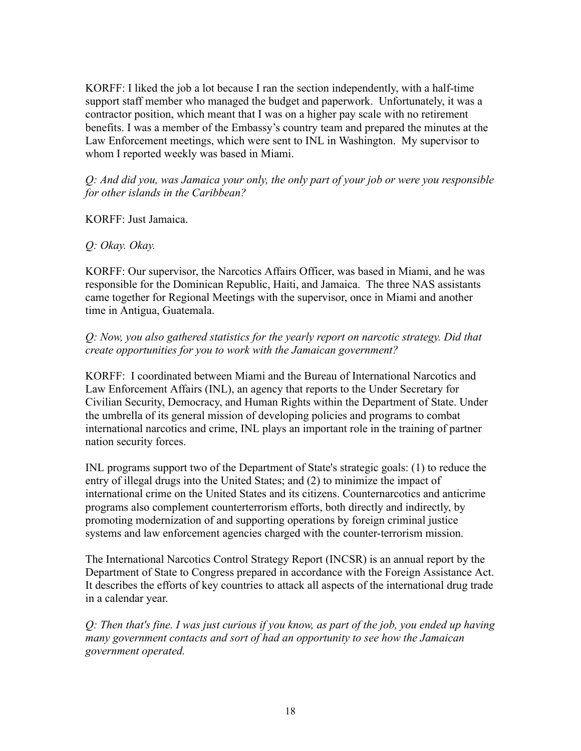KORFF: I liked the job a lot because I ran the section independently, with a half-time support staff member who managed the budget and paperwork. Unfortunately, it was a contractor position, which meant that I was on a higher pay scale with no retirement benefits. I was a member of the Embassy's country team and prepared the minutes at the Law Enforcement meetings, which were sent to INL in Washington. My supervisor to whom I reported weekly was based in Miami.

*Q: And did you, was Jamaica your only, the only part of your job or were you responsible for other islands in the Caribbean?*

KORFF: Just Jamaica.

#### *Q: Okay. Okay.*

KORFF: Our supervisor, the Narcotics Affairs Officer, was based in Miami, and he was responsible for the Dominican Republic, Haiti, and Jamaica. The three NAS assistants came together for Regional Meetings with the supervisor, once in Miami and another time in Antigua, Guatemala.

#### *Q: Now, you also gathered statistics for the yearly report on narcotic strategy. Did that create opportunities for you to work with the Jamaican government?*

KORFF: I coordinated between Miami and the Bureau of International Narcotics and Law Enforcement Affairs (INL), an agency that reports to the [Under Secretary for](https://en.wikipedia.org/wiki/Under_Secretary_for_Civilian_Security,_Democracy,_and_Human_Rights) [Civilian Security, Democracy, and Human Rights](https://en.wikipedia.org/wiki/Under_Secretary_for_Civilian_Security,_Democracy,_and_Human_Rights) within the [Department of State](https://en.wikipedia.org/wiki/Department_of_State). Under the umbrella of its general mission of developing policies and programs to combat international narcotics and crime, INL plays an important role in the training of partner nation security forces.

INL programs support two of the Department of State's strategic goals: (1) to reduce the entry of illegal drugs into the United States; and (2) to minimize the impact of international crime on the United States and its citizens. Counternarcotics and anticrime programs also complement counterterrorism efforts, both directly and indirectly, by promoting modernization of and supporting operations by foreign criminal justice systems and law enforcement agencies charged with the counter-terrorism mission.

The International Narcotics Control Strategy Report (INCSR) is an annual report by the Department of State to Congress prepared in accordance with the Foreign Assistance Act. It describes the efforts of key countries to attack all aspects of the international drug trade in a calendar year.

*Q: Then that's fine. I was just curious if you know, as part of the job, you ended up having many government contacts and sort of had an opportunity to see how the Jamaican government operated.*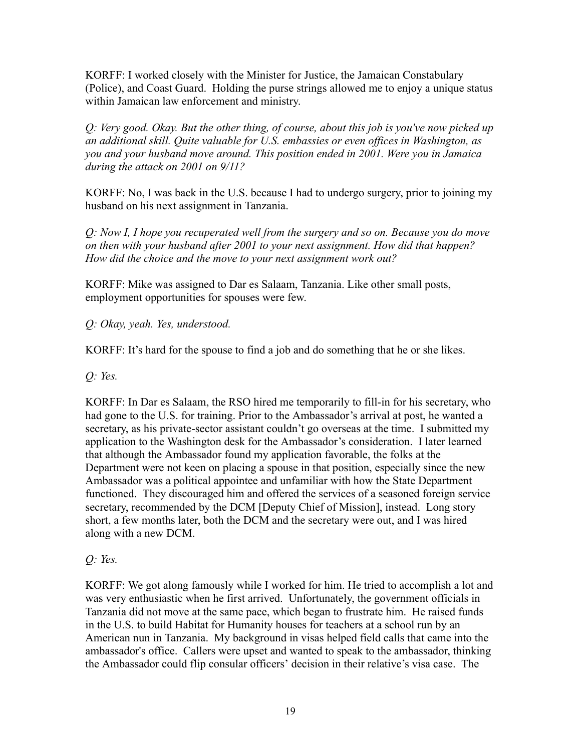KORFF: I worked closely with the Minister for Justice, the Jamaican Constabulary (Police), and Coast Guard. Holding the purse strings allowed me to enjoy a unique status within Jamaican law enforcement and ministry.

*Q: Very good. Okay. But the other thing, of course, about this job is you've now picked up an additional skill. Quite valuable for U.S. embassies or even offices in Washington, as you and your husband move around. This position ended in 2001. Were you in Jamaica during the attack on 2001 on 9/11?*

KORFF: No, I was back in the U.S. because I had to undergo surgery, prior to joining my husband on his next assignment in Tanzania.

*Q: Now I, I hope you recuperated well from the surgery and so on. Because you do move on then with your husband after 2001 to your next assignment. How did that happen? How did the choice and the move to your next assignment work out?*

KORFF: Mike was assigned to Dar es Salaam, Tanzania. Like other small posts, employment opportunities for spouses were few.

# *Q: Okay, yeah. Yes, understood.*

KORFF: It's hard for the spouse to find a job and do something that he or she likes.

*Q: Yes.*

KORFF: In Dar es Salaam, the RSO hired me temporarily to fill-in for his secretary, who had gone to the U.S. for training. Prior to the Ambassador's arrival at post, he wanted a secretary, as his private-sector assistant couldn't go overseas at the time. I submitted my application to the Washington desk for the Ambassador's consideration. I later learned that although the Ambassador found my application favorable, the folks at the Department were not keen on placing a spouse in that position, especially since the new Ambassador was a political appointee and unfamiliar with how the State Department functioned. They discouraged him and offered the services of a seasoned foreign service secretary, recommended by the DCM [Deputy Chief of Mission], instead. Long story short, a few months later, both the DCM and the secretary were out, and I was hired along with a new DCM.

*Q: Yes.*

KORFF: We got along famously while I worked for him. He tried to accomplish a lot and was very enthusiastic when he first arrived. Unfortunately, the government officials in Tanzania did not move at the same pace, which began to frustrate him. He raised funds in the U.S. to build Habitat for Humanity houses for teachers at a school run by an American nun in Tanzania. My background in visas helped field calls that came into the ambassador's office. Callers were upset and wanted to speak to the ambassador, thinking the Ambassador could flip consular officers' decision in their relative's visa case. The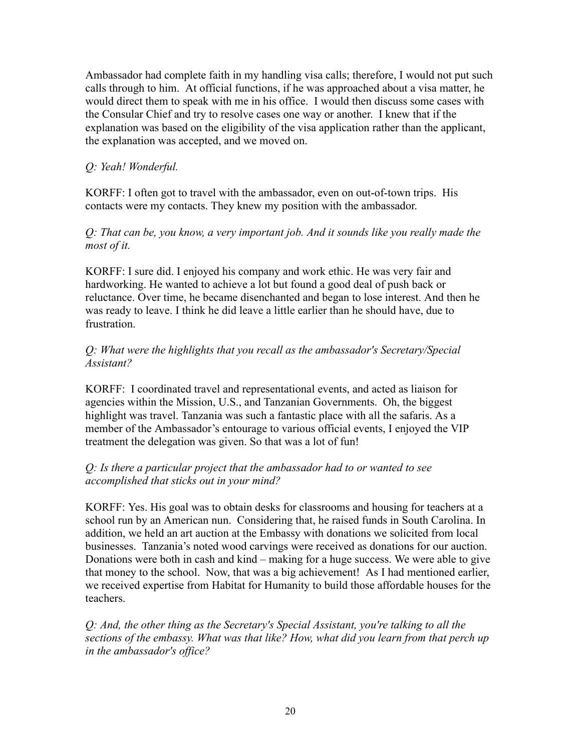Ambassador had complete faith in my handling visa calls; therefore, I would not put such calls through to him. At official functions, if he was approached about a visa matter, he would direct them to speak with me in his office. I would then discuss some cases with the Consular Chief and try to resolve cases one way or another. I knew that if the explanation was based on the eligibility of the visa application rather than the applicant, the explanation was accepted, and we moved on.

# *Q: Yeah! Wonderful.*

KORFF: I often got to travel with the ambassador, even on out-of-town trips. His contacts were my contacts. They knew my position with the ambassador.

### *Q: That can be, you know, a very important job. And it sounds like you really made the most of it.*

KORFF: I sure did. I enjoyed his company and work ethic. He was very fair and hardworking. He wanted to achieve a lot but found a good deal of push back or reluctance. Over time, he became disenchanted and began to lose interest. And then he was ready to leave. I think he did leave a little earlier than he should have, due to frustration.

# *Q: What were the highlights that you recall as the ambassador's Secretary/Special Assistant?*

KORFF: I coordinated travel and representational events, and acted as liaison for agencies within the Mission, U.S., and Tanzanian Governments. Oh, the biggest highlight was travel. Tanzania was such a fantastic place with all the safaris. As a member of the Ambassador's entourage to various official events, I enjoyed the VIP treatment the delegation was given. So that was a lot of fun!

# *Q: Is there a particular project that the ambassador had to or wanted to see accomplished that sticks out in your mind?*

KORFF: Yes. His goal was to obtain desks for classrooms and housing for teachers at a school run by an American nun. Considering that, he raised funds in South Carolina. In addition, we held an art auction at the Embassy with donations we solicited from local businesses. Tanzania's noted wood carvings were received as donations for our auction. Donations were both in cash and kind – making for a huge success. We were able to give that money to the school. Now, that was a big achievement! As I had mentioned earlier, we received expertise from Habitat for Humanity to build those affordable houses for the teachers.

*Q: And, the other thing as the Secretary's Special Assistant, you're talking to all the sections of the embassy. What was that like? How, what did you learn from that perch up in the ambassador's office?*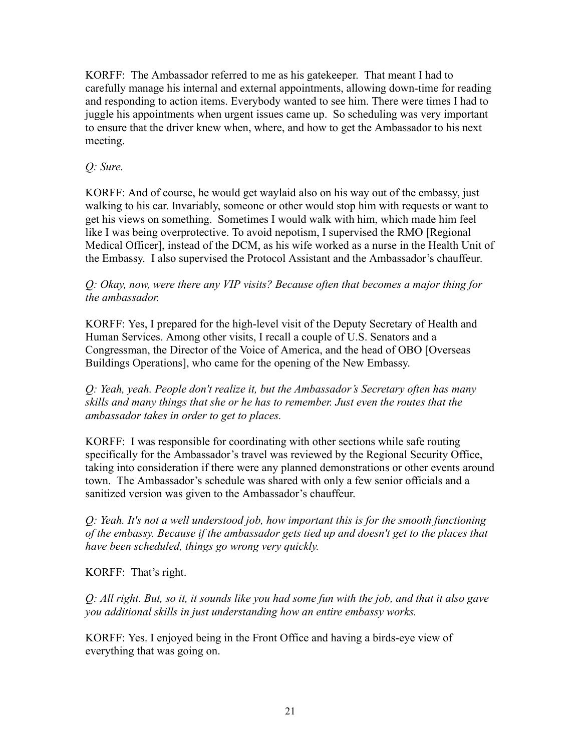KORFF: The Ambassador referred to me as his gatekeeper. That meant I had to carefully manage his internal and external appointments, allowing down-time for reading and responding to action items. Everybody wanted to see him. There were times I had to juggle his appointments when urgent issues came up. So scheduling was very important to ensure that the driver knew when, where, and how to get the Ambassador to his next meeting.

# *Q: Sure.*

KORFF: And of course, he would get waylaid also on his way out of the embassy, just walking to his car. Invariably, someone or other would stop him with requests or want to get his views on something. Sometimes I would walk with him, which made him feel like I was being overprotective. To avoid nepotism, I supervised the RMO [Regional Medical Officer], instead of the DCM, as his wife worked as a nurse in the Health Unit of the Embassy. I also supervised the Protocol Assistant and the Ambassador's chauffeur.

### *Q: Okay, now, were there any VIP visits? Because often that becomes a major thing for the ambassador.*

KORFF: Yes, I prepared for the high-level visit of the Deputy Secretary of Health and Human Services. Among other visits, I recall a couple of U.S. Senators and a Congressman, the Director of the Voice of America, and the head of OBO [Overseas Buildings Operations], who came for the opening of the New Embassy.

*Q: Yeah, yeah. People don't realize it, but the Ambassador's Secretary often has many skills and many things that she or he has to remember. Just even the routes that the ambassador takes in order to get to places.*

KORFF: I was responsible for coordinating with other sections while safe routing specifically for the Ambassador's travel was reviewed by the Regional Security Office, taking into consideration if there were any planned demonstrations or other events around town. The Ambassador's schedule was shared with only a few senior officials and a sanitized version was given to the Ambassador's chauffeur.

*Q: Yeah. It's not a well understood job, how important this is for the smooth functioning of the embassy. Because if the ambassador gets tied up and doesn't get to the places that have been scheduled, things go wrong very quickly.*

KORFF: That's right.

*Q: All right. But, so it, it sounds like you had some fun with the job, and that it also gave you additional skills in just understanding how an entire embassy works.*

KORFF: Yes. I enjoyed being in the Front Office and having a birds-eye view of everything that was going on.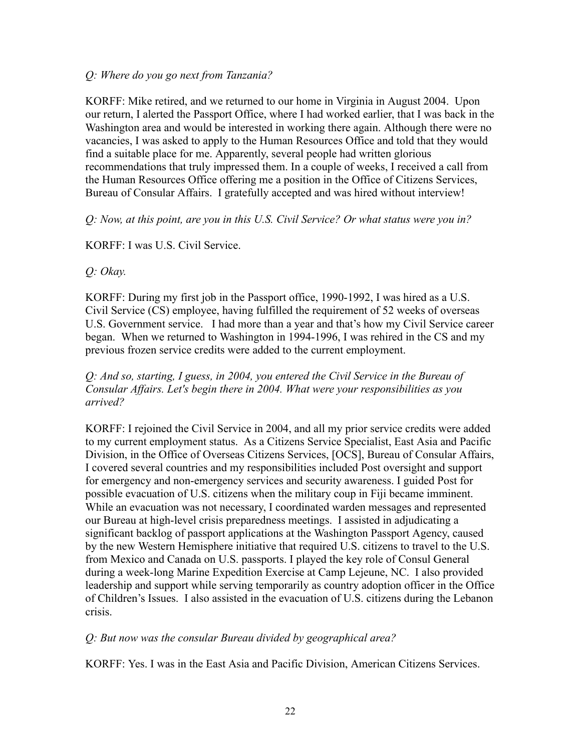#### *Q: Where do you go next from Tanzania?*

KORFF: Mike retired, and we returned to our home in Virginia in August 2004. Upon our return, I alerted the Passport Office, where I had worked earlier, that I was back in the Washington area and would be interested in working there again. Although there were no vacancies, I was asked to apply to the Human Resources Office and told that they would find a suitable place for me. Apparently, several people had written glorious recommendations that truly impressed them. In a couple of weeks, I received a call from the Human Resources Office offering me a position in the Office of Citizens Services, Bureau of Consular Affairs. I gratefully accepted and was hired without interview!

*Q: Now, at this point, are you in this U.S. Civil Service? Or what status were you in?*

KORFF: I was U.S. Civil Service.

*Q: Okay.*

KORFF: During my first job in the Passport office, 1990-1992, I was hired as a U.S. Civil Service (CS) employee, having fulfilled the requirement of 52 weeks of overseas U.S. Government service. I had more than a year and that's how my Civil Service career began. When we returned to Washington in 1994-1996, I was rehired in the CS and my previous frozen service credits were added to the current employment.

*Q: And so, starting, I guess, in 2004, you entered the Civil Service in the Bureau of Consular Affairs. Let's begin there in 2004. What were your responsibilities as you arrived?*

KORFF: I rejoined the Civil Service in 2004, and all my prior service credits were added to my current employment status. As a Citizens Service Specialist, East Asia and Pacific Division, in the Office of Overseas Citizens Services, [OCS], Bureau of Consular Affairs, I covered several countries and my responsibilities included Post oversight and support for emergency and non-emergency services and security awareness. I guided Post for possible evacuation of U.S. citizens when the military coup in Fiji became imminent. While an evacuation was not necessary, I coordinated warden messages and represented our Bureau at high-level crisis preparedness meetings. I assisted in adjudicating a significant backlog of passport applications at the Washington Passport Agency, caused by the new Western Hemisphere initiative that required U.S. citizens to travel to the U.S. from Mexico and Canada on U.S. passports. I played the key role of Consul General during a week-long Marine Expedition Exercise at Camp Lejeune, NC. I also provided leadership and support while serving temporarily as country adoption officer in the Office of Children's Issues. I also assisted in the evacuation of U.S. citizens during the Lebanon crisis.

# *Q: But now was the consular Bureau divided by geographical area?*

KORFF: Yes. I was in the East Asia and Pacific Division, American Citizens Services.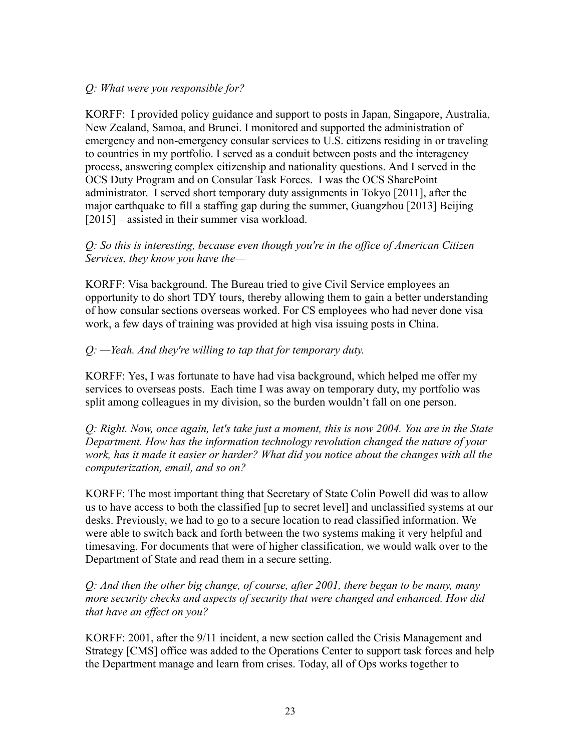# *Q: What were you responsible for?*

KORFF: I provided policy guidance and support to posts in Japan, Singapore, Australia, New Zealand, Samoa, and Brunei. I monitored and supported the administration of emergency and non-emergency consular services to U.S. citizens residing in or traveling to countries in my portfolio. I served as a conduit between posts and the interagency process, answering complex citizenship and nationality questions. And I served in the OCS Duty Program and on Consular Task Forces. I was the OCS SharePoint administrator. I served short temporary duty assignments in Tokyo [2011], after the major earthquake to fill a staffing gap during the summer, Guangzhou [2013] Beijing [2015] – assisted in their summer visa workload.

### *Q: So this is interesting, because even though you're in the office of American Citizen Services, they know you have the—*

KORFF: Visa background. The Bureau tried to give Civil Service employees an opportunity to do short TDY tours, thereby allowing them to gain a better understanding of how consular sections overseas worked. For CS employees who had never done visa work, a few days of training was provided at high visa issuing posts in China.

#### *Q: —Yeah. And they're willing to tap that for temporary duty.*

KORFF: Yes, I was fortunate to have had visa background, which helped me offer my services to overseas posts. Each time I was away on temporary duty, my portfolio was split among colleagues in my division, so the burden wouldn't fall on one person.

*Q: Right. Now, once again, let's take just a moment, this is now 2004. You are in the State Department. How has the information technology revolution changed the nature of your work, has it made it easier or harder? What did you notice about the changes with all the computerization, email, and so on?*

KORFF: The most important thing that Secretary of State Colin Powell did was to allow us to have access to both the classified [up to secret level] and unclassified systems at our desks. Previously, we had to go to a secure location to read classified information. We were able to switch back and forth between the two systems making it very helpful and timesaving. For documents that were of higher classification, we would walk over to the Department of State and read them in a secure setting.

*Q: And then the other big change, of course, after 2001, there began to be many, many more security checks and aspects of security that were changed and enhanced. How did that have an effect on you?*

KORFF: 2001, after the 9/11 incident, a new section called the Crisis Management and Strategy [CMS] office was added to the Operations Center to support task forces and help the Department manage and learn from crises. Today, all of Ops works together to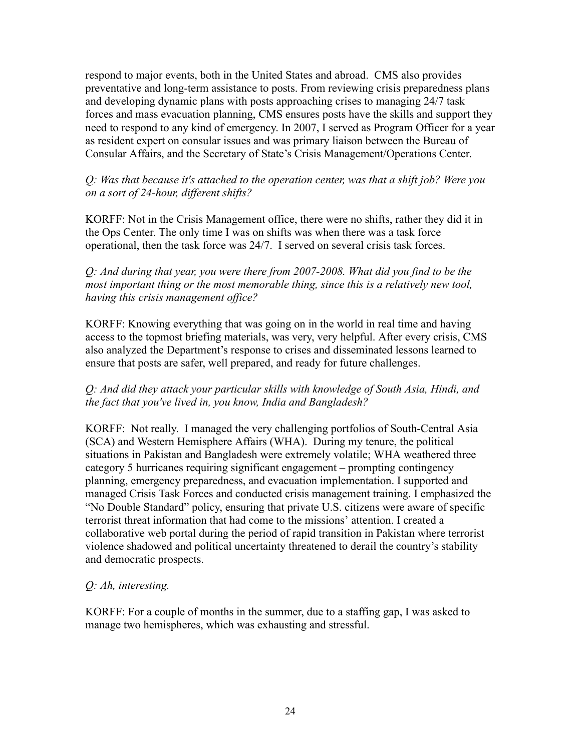respond to major events, both in the United States and abroad. CMS also provides preventative and long-term assistance to posts. From reviewing crisis preparedness plans and developing dynamic plans with posts approaching crises to managing 24/7 task forces and mass evacuation planning, CMS ensures posts have the skills and support they need to respond to any kind of emergency. In 2007, I served as Program Officer for a year as resident expert on consular issues and was primary liaison between the Bureau of Consular Affairs, and the Secretary of State's Crisis Management/Operations Center.

*Q: Was that because it's attached to the operation center, was that a shift job? Were you on a sort of 24-hour, different shifts?*

KORFF: Not in the Crisis Management office, there were no shifts, rather they did it in the Ops Center. The only time I was on shifts was when there was a task force operational, then the task force was 24/7. I served on several crisis task forces.

*Q: And during that year, you were there from 2007-2008. What did you find to be the most important thing or the most memorable thing, since this is a relatively new tool, having this crisis management office?*

KORFF: Knowing everything that was going on in the world in real time and having access to the topmost briefing materials, was very, very helpful. After every crisis, CMS also analyzed the Department's response to crises and disseminated lessons learned to ensure that posts are safer, well prepared, and ready for future challenges.

# *Q: And did they attack your particular skills with knowledge of South Asia, Hindi, and the fact that you've lived in, you know, India and Bangladesh?*

KORFF: Not really. I managed the very challenging portfolios of South-Central Asia (SCA) and Western Hemisphere Affairs (WHA). During my tenure, the political situations in Pakistan and Bangladesh were extremely volatile; WHA weathered three category 5 hurricanes requiring significant engagement – prompting contingency planning, emergency preparedness, and evacuation implementation. I supported and managed Crisis Task Forces and conducted crisis management training. I emphasized the "No Double Standard" policy, ensuring that private U.S. citizens were aware of specific terrorist threat information that had come to the missions' attention. I created a collaborative web portal during the period of rapid transition in Pakistan where terrorist violence shadowed and political uncertainty threatened to derail the country's stability and democratic prospects.

# *Q: Ah, interesting.*

KORFF: For a couple of months in the summer, due to a staffing gap, I was asked to manage two hemispheres, which was exhausting and stressful.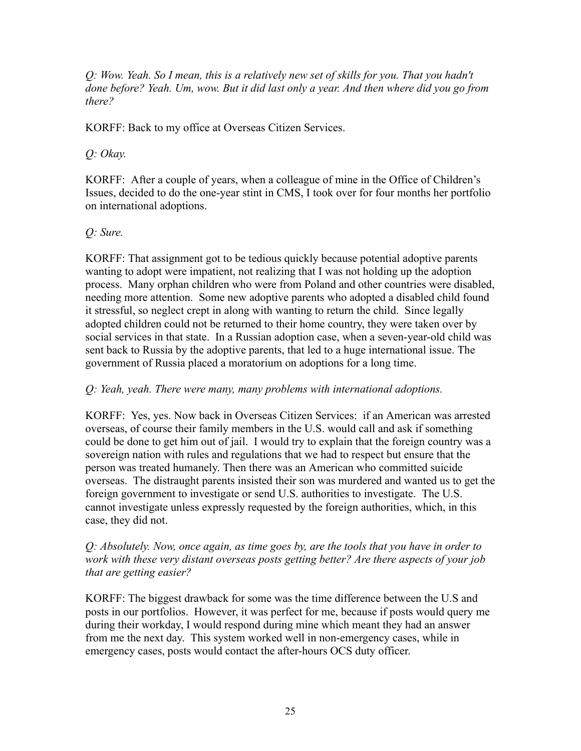*Q: Wow. Yeah. So I mean, this is a relatively new set of skills for you. That you hadn't done before? Yeah. Um, wow. But it did last only a year. And then where did you go from there?*

KORFF: Back to my office at Overseas Citizen Services.

### *Q: Okay.*

KORFF: After a couple of years, when a colleague of mine in the Office of Children's Issues, decided to do the one-year stint in CMS, I took over for four months her portfolio on international adoptions.

# *Q: Sure.*

KORFF: That assignment got to be tedious quickly because potential adoptive parents wanting to adopt were impatient, not realizing that I was not holding up the adoption process. Many orphan children who were from Poland and other countries were disabled, needing more attention. Some new adoptive parents who adopted a disabled child found it stressful, so neglect crept in along with wanting to return the child. Since legally adopted children could not be returned to their home country, they were taken over by social services in that state. In a Russian adoption case, when a seven-year-old child was sent back to Russia by the adoptive parents, that led to a huge international issue. The government of Russia placed a moratorium on adoptions for a long time.

#### *Q: Yeah, yeah. There were many, many problems with international adoptions.*

KORFF: Yes, yes. Now back in Overseas Citizen Services: if an American was arrested overseas, of course their family members in the U.S. would call and ask if something could be done to get him out of jail. I would try to explain that the foreign country was a sovereign nation with rules and regulations that we had to respect but ensure that the person was treated humanely. Then there was an American who committed suicide overseas. The distraught parents insisted their son was murdered and wanted us to get the foreign government to investigate or send U.S. authorities to investigate. The U.S. cannot investigate unless expressly requested by the foreign authorities, which, in this case, they did not.

### *Q: Absolutely. Now, once again, as time goes by, are the tools that you have in order to work with these very distant overseas posts getting better? Are there aspects of your job that are getting easier?*

KORFF: The biggest drawback for some was the time difference between the U.S and posts in our portfolios. However, it was perfect for me, because if posts would query me during their workday, I would respond during mine which meant they had an answer from me the next day. This system worked well in non-emergency cases, while in emergency cases, posts would contact the after-hours OCS duty officer.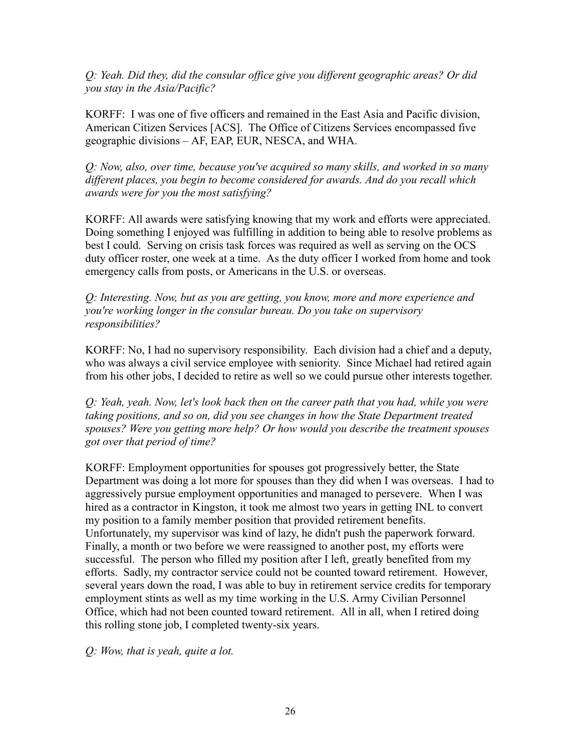*Q: Yeah. Did they, did the consular office give you different geographic areas? Or did you stay in the Asia/Pacific?*

KORFF: I was one of five officers and remained in the East Asia and Pacific division, American Citizen Services [ACS]. The Office of Citizens Services encompassed five geographic divisions – AF, EAP, EUR, NESCA, and WHA.

*Q: Now, also, over time, because you've acquired so many skills, and worked in so many different places, you begin to become considered for awards. And do you recall which awards were for you the most satisfying?*

KORFF: All awards were satisfying knowing that my work and efforts were appreciated. Doing something I enjoyed was fulfilling in addition to being able to resolve problems as best I could. Serving on crisis task forces was required as well as serving on the OCS duty officer roster, one week at a time. As the duty officer I worked from home and took emergency calls from posts, or Americans in the U.S. or overseas.

*Q: Interesting. Now, but as you are getting, you know, more and more experience and you're working longer in the consular bureau. Do you take on supervisory responsibilities?*

KORFF: No, I had no supervisory responsibility. Each division had a chief and a deputy, who was always a civil service employee with seniority. Since Michael had retired again from his other jobs, I decided to retire as well so we could pursue other interests together.

*Q: Yeah, yeah. Now, let's look back then on the career path that you had, while you were taking positions, and so on, did you see changes in how the State Department treated spouses? Were you getting more help? Or how would you describe the treatment spouses got over that period of time?*

KORFF: Employment opportunities for spouses got progressively better, the State Department was doing a lot more for spouses than they did when I was overseas. I had to aggressively pursue employment opportunities and managed to persevere. When I was hired as a contractor in Kingston, it took me almost two years in getting INL to convert my position to a family member position that provided retirement benefits. Unfortunately, my supervisor was kind of lazy, he didn't push the paperwork forward. Finally, a month or two before we were reassigned to another post, my efforts were successful. The person who filled my position after I left, greatly benefited from my efforts. Sadly, my contractor service could not be counted toward retirement. However, several years down the road, I was able to buy in retirement service credits for temporary employment stints as well as my time working in the U.S. Army Civilian Personnel Office, which had not been counted toward retirement. All in all, when I retired doing this rolling stone job, I completed twenty-six years.

*Q: Wow, that is yeah, quite a lot.*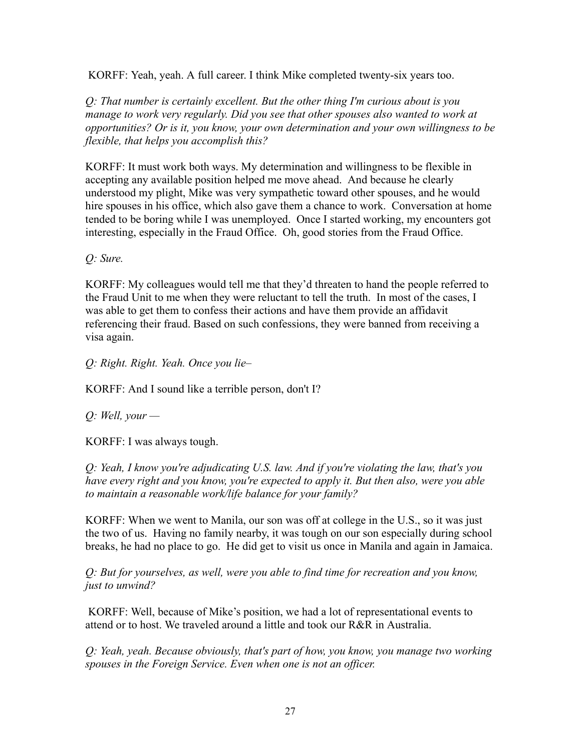KORFF: Yeah, yeah. A full career. I think Mike completed twenty-six years too.

*Q: That number is certainly excellent. But the other thing I'm curious about is you manage to work very regularly. Did you see that other spouses also wanted to work at opportunities? Or is it, you know, your own determination and your own willingness to be flexible, that helps you accomplish this?*

KORFF: It must work both ways. My determination and willingness to be flexible in accepting any available position helped me move ahead. And because he clearly understood my plight, Mike was very sympathetic toward other spouses, and he would hire spouses in his office, which also gave them a chance to work. Conversation at home tended to be boring while I was unemployed. Once I started working, my encounters got interesting, especially in the Fraud Office. Oh, good stories from the Fraud Office.

*Q: Sure.*

KORFF: My colleagues would tell me that they'd threaten to hand the people referred to the Fraud Unit to me when they were reluctant to tell the truth. In most of the cases, I was able to get them to confess their actions and have them provide an affidavit referencing their fraud. Based on such confessions, they were banned from receiving a visa again.

*Q: Right. Right. Yeah. Once you lie–*

KORFF: And I sound like a terrible person, don't I?

*Q: Well, your —*

KORFF: I was always tough.

*Q: Yeah, I know you're adjudicating U.S. law. And if you're violating the law, that's you have every right and you know, you're expected to apply it. But then also, were you able to maintain a reasonable work/life balance for your family?*

KORFF: When we went to Manila, our son was off at college in the U.S., so it was just the two of us. Having no family nearby, it was tough on our son especially during school breaks, he had no place to go. He did get to visit us once in Manila and again in Jamaica.

*Q: But for yourselves, as well, were you able to find time for recreation and you know, just to unwind?*

KORFF: Well, because of Mike's position, we had a lot of representational events to attend or to host. We traveled around a little and took our R&R in Australia.

*Q: Yeah, yeah. Because obviously, that's part of how, you know, you manage two working spouses in the Foreign Service. Even when one is not an officer.*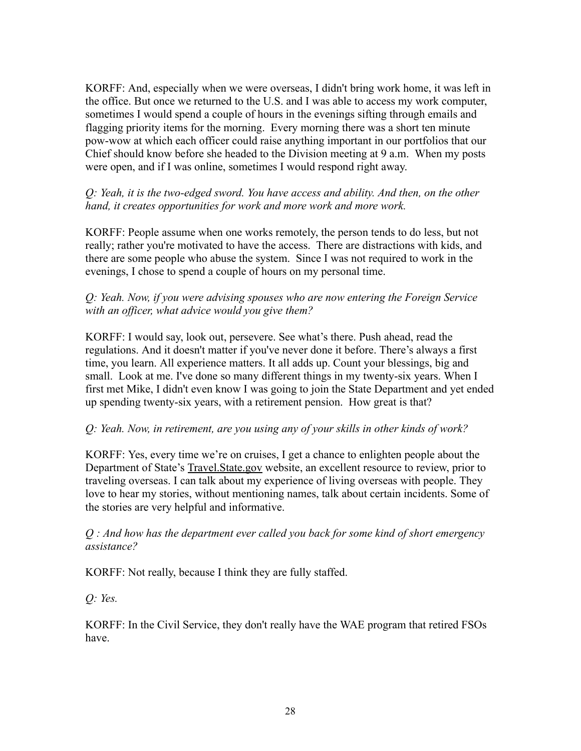KORFF: And, especially when we were overseas, I didn't bring work home, it was left in the office. But once we returned to the U.S. and I was able to access my work computer, sometimes I would spend a couple of hours in the evenings sifting through emails and flagging priority items for the morning. Every morning there was a short ten minute pow-wow at which each officer could raise anything important in our portfolios that our Chief should know before she headed to the Division meeting at 9 a.m. When my posts were open, and if I was online, sometimes I would respond right away.

# *Q: Yeah, it is the two-edged sword. You have access and ability. And then, on the other hand, it creates opportunities for work and more work and more work.*

KORFF: People assume when one works remotely, the person tends to do less, but not really; rather you're motivated to have the access. There are distractions with kids, and there are some people who abuse the system. Since I was not required to work in the evenings, I chose to spend a couple of hours on my personal time.

### *Q: Yeah. Now, if you were advising spouses who are now entering the Foreign Service with an officer, what advice would you give them?*

KORFF: I would say, look out, persevere. See what's there. Push ahead, read the regulations. And it doesn't matter if you've never done it before. There's always a first time, you learn. All experience matters. It all adds up. Count your blessings, big and small. Look at me. I've done so many different things in my twenty-six years. When I first met Mike, I didn't even know I was going to join the State Department and yet ended up spending twenty-six years, with a retirement pension. How great is that?

# *Q: Yeah. Now, in retirement, are you using any of your skills in other kinds of work?*

KORFF: Yes, every time we're on cruises, I get a chance to enlighten people about the Department of State's [Travel.State.gov](https://travel.state.gov/) website, an excellent resource to review, prior to traveling overseas. I can talk about my experience of living overseas with people. They love to hear my stories, without mentioning names, talk about certain incidents. Some of the stories are very helpful and informative.

#### *Q : And how has the department ever called you back for some kind of short emergency assistance?*

KORFF: Not really, because I think they are fully staffed.

*Q: Yes.*

KORFF: In the Civil Service, they don't really have the WAE program that retired FSOs have.